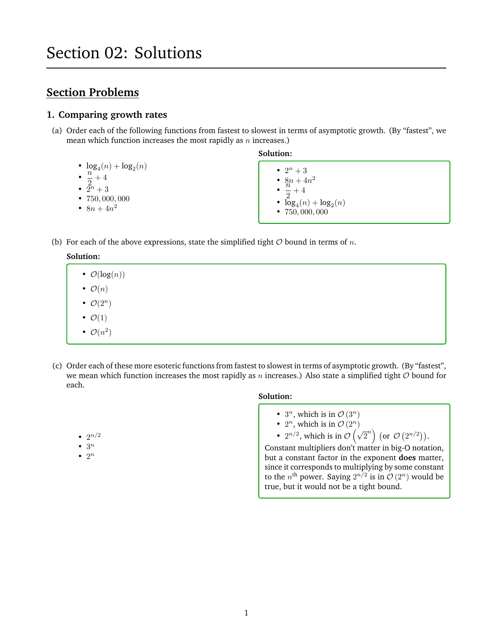# **Section Problems**

# **1. Comparing growth rates**

- (a) Order each of the following functions from fastest to slowest in terms of asymptotic growth. (By "fastest", we mean which function increases the most rapidly as  $n$  increases.)
	- $\log_4(n) + \log_2(n)$
	- $\cdot \frac{n}{2}$
	- $\frac{1}{2} + 4$ •  $\tilde{2}^n + 3$
	- 750, 000, 000
	- $8n + 4n^2$

**Solution:**

- $2^n + 3$ •  $\frac{8n}{n} + 4n^2$ •  $\overline{2}$  $+\ 4$ •  $log_4(n) + log_2(n)$  $• 750,000,000$
- (b) For each of the above expressions, state the simplified tight  $O$  bound in terms of n.

# **Solution:**

- $\mathcal{O}(\log(n))$
- $\mathcal{O}(n)$ •  $\mathcal{O}(2^n)$
- 
- $\bullet$   $\mathcal{O}(1)$
- $\mathcal{O}(n^2)$

•  $2^{n/2}$  $\bullet$  3<sup>n</sup> •  $2^n$ 

(c) Order each of these more esoteric functions from fastest to slowest in terms of asymptotic growth. (By "fastest", we mean which function increases the most rapidly as n increases.) Also state a simplified tight  $O$  bound for each.

# **Solution:**

- $3^n$ , which is in  $\mathcal{O}(3^n)$
- $2^n$ , which is in  $\mathcal{O}(2^n)$
- $2^{n/2}$ , which is in  $\mathcal{O}(\sqrt{2}^n)$  (or  $\mathcal{O}(2^{n/2})$ ).

Constant multipliers don't matter in big-O notation, but a constant factor in the exponent **does** matter, since it corresponds to multiplying by some constant to the  $n^{\text{th}}$  power. Saying  $2^{n/2}$  is in  $\mathcal{O}(2^n)$  would be true, but it would not be a tight bound.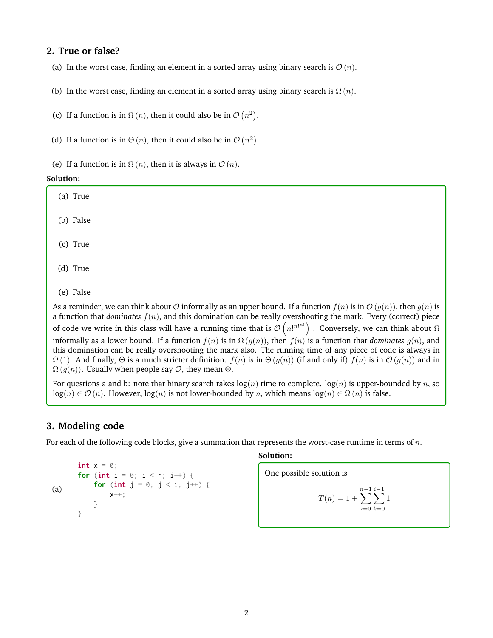# **2. True or false?**

(a) In the worst case, finding an element in a sorted array using binary search is  $\mathcal{O}(n)$ .

(b) In the worst case, finding an element in a sorted array using binary search is  $\Omega(n)$ .

(c) If a function is in  $\Omega(n)$ , then it could also be in  $\mathcal{O}(n^2)$ .

(d) If a function is in  $\Theta(n)$ , then it could also be in  $\mathcal{O}(n^2)$ .

(e) If a function is in  $\Omega(n)$ , then it is always in  $\mathcal{O}(n)$ .

#### **Solution:**

| (a) True                                                                                                                                                                                                                                                                                                                                                                                                                                                                                          |
|---------------------------------------------------------------------------------------------------------------------------------------------------------------------------------------------------------------------------------------------------------------------------------------------------------------------------------------------------------------------------------------------------------------------------------------------------------------------------------------------------|
| (b) False                                                                                                                                                                                                                                                                                                                                                                                                                                                                                         |
| (c) True                                                                                                                                                                                                                                                                                                                                                                                                                                                                                          |
| (d) True                                                                                                                                                                                                                                                                                                                                                                                                                                                                                          |
| (e) False                                                                                                                                                                                                                                                                                                                                                                                                                                                                                         |
| As a reminder, we can think about O informally as an upper bound. If a function $f(n)$ is in $\mathcal{O}(g(n))$ , then $g(n)$ is<br>a function that <i>dominates</i> $f(n)$ , and this domination can be really overshooting the mark. Every (correct) piece                                                                                                                                                                                                                                     |
| of code we write in this class will have a running time that is $\mathcal{O}(n!^{n!^{n!}})$ . Conversely, we can think about $\Omega$                                                                                                                                                                                                                                                                                                                                                             |
| informally as a lower bound. If a function $f(n)$ is in $\Omega(g(n))$ , then $f(n)$ is a function that <i>dominates</i> $g(n)$ , and<br>this domination can be really overshooting the mark also. The running time of any piece of code is always in<br>$\Omega(1)$ . And finally, $\Theta$ is a much stricter definition. $f(n)$ is in $\Theta(g(n))$ (if and only if) $f(n)$ is in $\mathcal{O}(g(n))$ and in<br>$\Omega(g(n))$ . Usually when people say $\mathcal{O}$ , they mean $\Theta$ . |

For questions a and b: note that binary search takes  $log(n)$  time to complete.  $log(n)$  is upper-bounded by n, so  $log(n) \in \mathcal{O}(n)$ . However,  $log(n)$  is not lower-bounded by n, which means  $log(n) \in \Omega(n)$  is false.

# **3. Modeling code**

For each of the following code blocks, give a summation that represents the worst-case runtime in terms of n.

```
(a)
       int x = 0;
       for (int i = 0; i < n; i^{++}) {
           for (int j = 0; j < i; j^{++}) {
                x++;
           }
       }
```
#### **Solution:**

One possible solution is

$$
T(n) = 1 + \sum_{i=0}^{n-1} \sum_{k=0}^{i-1} 1
$$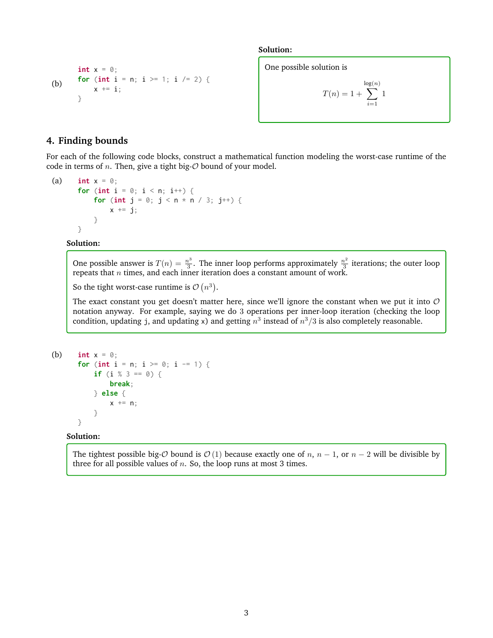```
(b)
        int x = 0;
        for (int i = n; i >= 1; i /= 2) {
             x \leftarrow^+ = i;
        }
```
**Solution:**

One possible solution is

$$
T(n)=1+\sum_{i=1}^{\log(n)}1
$$

## **4. Finding bounds**

For each of the following code blocks, construct a mathematical function modeling the worst-case runtime of the code in terms of  $n$ . Then, give a tight big- $\mathcal O$  bound of your model.

```
(a) int x = 0;
       for (int i = 0; i < n; i^{++}) {
            for (int j = 0; j < n * n / 3; j^{++}) {
                 x \leftarrow + = j;
            }
       }
```
#### **Solution:**

One possible answer is  $T(n) = \frac{n^3}{3}$  $\frac{n^3}{3}$ . The inner loop performs approximately  $\frac{n^2}{3}$  $\frac{a^2}{3}$  iterations; the outer loop repeats that  $n$  times, and each inner iteration does a constant amount of work.

So the tight worst-case runtime is  $\mathcal{O}(n^3)$ .

The exact constant you get doesn't matter here, since we'll ignore the constant when we put it into  $O$ notation anyway. For example, saying we do 3 operations per inner-loop iteration (checking the loop condition, updating j, and updating x) and getting  $n^3$  instead of  $n^3/3$  is also completely reasonable.

```
(b) int x = 0;
       for (int i = n; i \ge 0; i == 1) {
           if (i % 3 == 0) {
                break;
            } else {
                x \leftarrow + n;
            }
       }
```
#### **Solution:**

The tightest possible big- $\mathcal O$  bound is  $\mathcal O$  (1) because exactly one of n, n – 1, or n – 2 will be divisible by three for all possible values of  $n$ . So, the loop runs at most 3 times.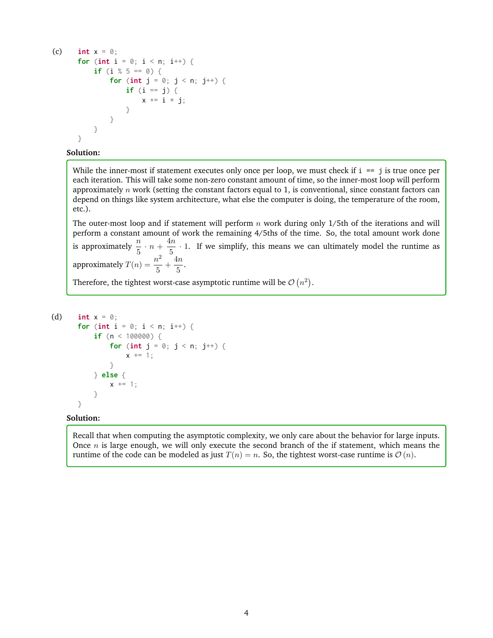```
(c) int x = 0;
      for (int i = 0; i < n; i++) {
           if (i % 5 == 0) {
               for (int j = 0; j < n; j++) {
                   if (i == j) {
                       x \neq i \times j;
                   }
               }
          }
      }
```
### **Solution:**

While the inner-most if statement executes only once per loop, we must check if  $i = j$  is true once per each iteration. This will take some non-zero constant amount of time, so the inner-most loop will perform approximately  $n$  work (setting the constant factors equal to 1, is conventional, since constant factors can depend on things like system architecture, what else the computer is doing, the temperature of the room, etc.).

The outer-most loop and if statement will perform  $n$  work during only 1/5th of the iterations and will perform a constant amount of work the remaining 4/5ths of the time. So, the total amount work done is approximately  $\frac{n}{5} \cdot n + \frac{4n}{5}$  $\frac{1}{5}$  · 1. If we simplify, this means we can ultimately model the runtime as approximately  $T(n) = \frac{n^2}{r^2}$  $\frac{n^2}{5} + \frac{4n}{5}$  $\frac{1}{5}$ .

Therefore, the tightest worst-case asymptotic runtime will be  $\mathcal{O}(n^2)$ .

```
(d) int x = 0;
       for (int i = 0; i < n; i++) {
            if (n < 100000) {
                for (int j = 0; j < n; j^{++}) {
                    x \leftarrow + = 1;
                }
           } else {
                x += 1;
           }
       }
```
#### **Solution:**

Recall that when computing the asymptotic complexity, we only care about the behavior for large inputs. Once  $n$  is large enough, we will only execute the second branch of the if statement, which means the runtime of the code can be modeled as just  $T(n) = n$ . So, the tightest worst-case runtime is  $\mathcal{O}(n)$ .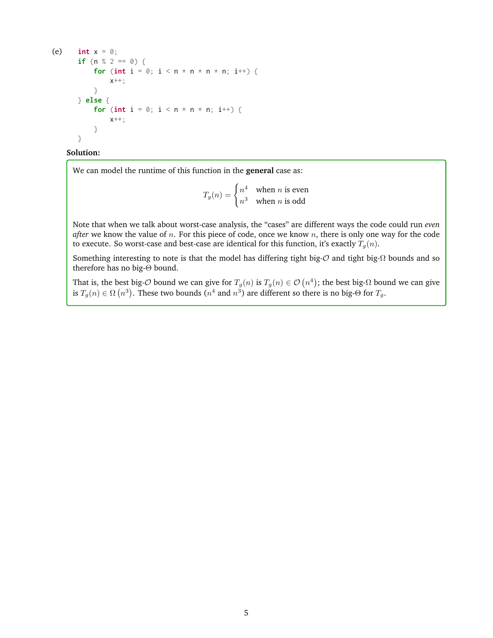```
(e) int x = 0;
      if (n % 2 == 0) {
          for (int i = 0; i < n * n * n * n; i++) {
              x++;
          }
      } else {
          for (int i = 0; i < n * n * n; i++) {
              x++;
          }
      }
```
#### **Solution:**

We can model the runtime of this function in the **general** case as:

 $T_g(n) = \begin{cases} n^4 & \text{when } n \text{ is even} \\ \frac{3}{4} & \text{then } n \text{ is even} \end{cases}$  $n^3$  when *n* is odd

Note that when we talk about worst-case analysis, the "cases" are different ways the code could run *even after* we know the value of *n*. For this piece of code, once we know *n*, there is only one way for the code to execute. So worst-case and best-case are identical for this function, it's exactly  $T_q(n)$ .

Something interesting to note is that the model has differing tight big-O and tight big-Ω bounds and so therefore has no big-Θ bound.

That is, the best big- $O$  bound we can give for  $T_g(n)$  is  $T_g(n)\in\mathcal{O}\left(n^4\right)$ ; the best big- $\Omega$  bound we can give is  $T_g(n) \in \Omega(n^3)$ . These two bounds  $(n^4$  and  $n^3)$  are different so there is no big- $\Theta$  for  $T_g$ .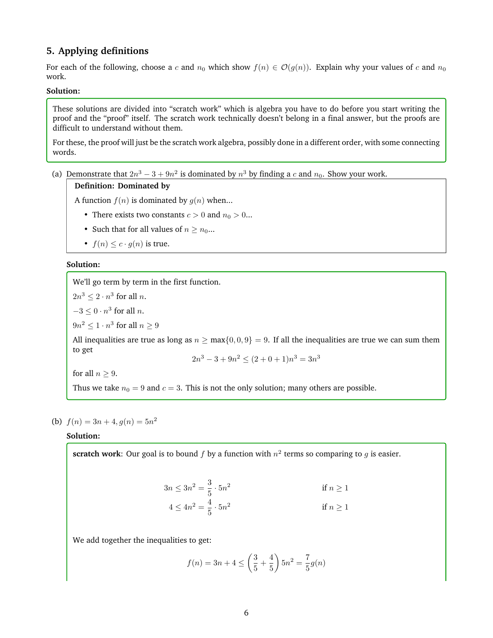# **5. Applying definitions**

For each of the following, choose a c and  $n_0$  which show  $f(n) \in \mathcal{O}(g(n))$ . Explain why your values of c and  $n_0$ work.

### **Solution:**

These solutions are divided into "scratch work" which is algebra you have to do before you start writing the proof and the "proof" itself. The scratch work technically doesn't belong in a final answer, but the proofs are difficult to understand without them.

For these, the proof will just be the scratch work algebra, possibly done in a different order, with some connecting words.

(a) Demonstrate that  $2n^3 - 3 + 9n^2$  is dominated by  $n^3$  by finding a c and  $n_0$ . Show your work.

## **Definition: Dominated by**

A function  $f(n)$  is dominated by  $g(n)$  when...

- There exists two constants  $c > 0$  and  $n_0 > 0...$
- Such that for all values of  $n \geq n_0...$
- $f(n) \leq c \cdot g(n)$  is true.

### **Solution:**

We'll go term by term in the first function.

 $2n^3 \leq 2 \cdot n^3$  for all *n*.  $-3 \leq 0 \cdot n^3$  for all *n*.  $9n^2 \leq 1 \cdot n^3$  for all  $n \geq 9$ 

All inequalities are true as long as  $n \ge \max\{0, 0, 9\} = 9$ . If all the inequalities are true we can sum them to get

$$
2n^3 - 3 + 9n^2 \le (2 + 0 + 1)n^3 = 3n^3
$$

for all  $n > 9$ .

Thus we take  $n_0 = 9$  and  $c = 3$ . This is not the only solution; many others are possible.

## (b)  $f(n) = 3n + 4, g(n) = 5n^2$

## **Solution:**

**scratch work**: Our goal is to bound  $f$  by a function with  $n^2$  terms so comparing to  $g$  is easier.

$$
3n \le 3n^2 = \frac{3}{5} \cdot 5n^2
$$
if  $n \ge 1$   

$$
4 \le 4n^2 = \frac{4}{5} \cdot 5n^2
$$
if  $n \ge 1$ 

We add together the inequalities to get:

$$
f(n) = 3n + 4 \le \left(\frac{3}{5} + \frac{4}{5}\right) 5n^2 = \frac{7}{5}g(n)
$$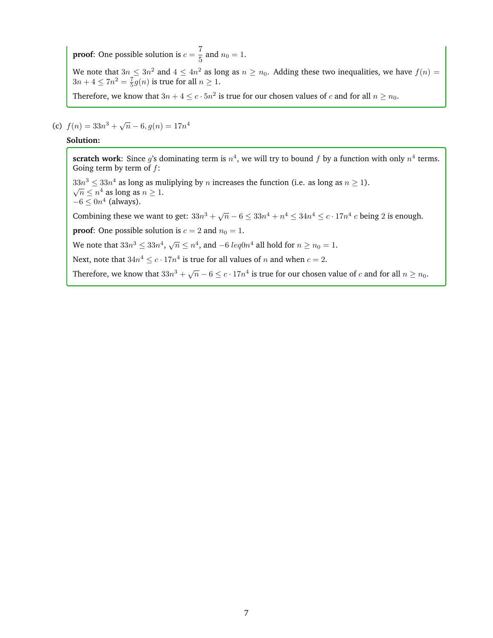**proof**: One possible solution is  $c = \frac{7}{5}$  $\frac{1}{5}$  and  $n_0 = 1$ .

We note that  $3n\leq 3n^2$  and  $4\leq 4n^2$  as long as  $n\geq n_0.$  Adding these two inequalities, we have  $f(n)=$  $3n+4 \leq 7n^2 = \frac{7}{5}g(n)$  is true for all  $n \geq 1$ .

Therefore, we know that  $3n + 4 \le c \cdot 5n^2$  is true for our chosen values of  $c$  and for all  $n \ge n_0$ .

(c)  $f(n) = 33n^3 + \sqrt{n} - 6, g(n) = 17n^4$ 

#### **Solution:**

**scratch work**: Since g's dominating term is  $n^4$ , we will try to bound f by a function with only  $n^4$  terms. Going term by term of  $f$ :

 $33n^3 \leq 33n^4$  as long as muliplying by *n* increases the function (i.e. as long as  $n \geq 1$ ).  $\overline{n} \leq n^4$  as long as  $n \geq 1$ .  $-6 \leq 0n^4$  (always).

Combining these we want to get:  $33n^3 + \sqrt{n} - 6 \leq 33n^4 + n^4 \leq 34n^4 \leq c \cdot 17n^4$  c being 2 is enough.

**proof:** One possible solution is  $c = 2$  and  $n_0 = 1$ .

We note that  $33n^3 \leq 33n^4$ ,  $\sqrt{n} \leq n^4$ , and  $-6 \ leq0n^4$  all hold for  $n \geq n_0 = 1$ .

Next, note that  $34n^4 \leq c \cdot 17n^4$  is true for all values of n and when  $c = 2$ .

Therefore, we know that  $33n^3 + \sqrt{n} - 6 \le c \cdot 17n^4$  is true for our chosen value of  $c$  and for all  $n \ge n_0$ .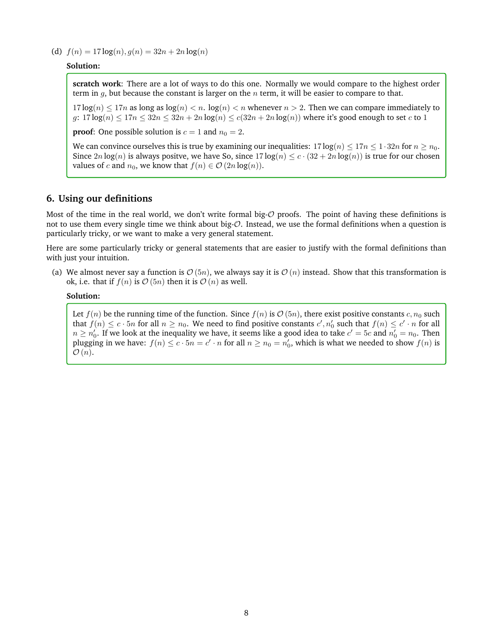(d)  $f(n) = 17 \log(n), g(n) = 32n + 2n \log(n)$ 

## **Solution:**

**scratch work**: There are a lot of ways to do this one. Normally we would compare to the highest order term in  $g$ , but because the constant is larger on the  $n$  term, it will be easier to compare to that.

 $17 \log(n) \leq 17n$  as long as  $\log(n) \leq n$ .  $\log(n) \leq n$  whenever  $n > 2$ . Then we can compare immediately to  $g: 17 \log(n) \leq 17n \leq 32n \leq 32n + 2n \log(n) \leq c(32n + 2n \log(n))$  where it's good enough to set c to 1

**proof:** One possible solution is  $c = 1$  and  $n_0 = 2$ .

We can convince ourselves this is true by examining our inequalities:  $17 \log(n) \leq 17n \leq 1 \cdot 32n$  for  $n \geq n_0$ . Since  $2n \log(n)$  is always positve, we have So, since  $17 \log(n) \leq c \cdot (32 + 2n \log(n))$  is true for our chosen values of c and  $n_0$ , we know that  $f(n) \in \mathcal{O}(2n \log(n))$ .

# **6. Using our definitions**

Most of the time in the real world, we don't write formal big- $\mathcal O$  proofs. The point of having these definitions is not to use them every single time we think about big-O. Instead, we use the formal definitions when a question is particularly tricky, or we want to make a very general statement.

Here are some particularly tricky or general statements that are easier to justify with the formal definitions than with just your intuition.

(a) We almost never say a function is  $\mathcal{O}(5n)$ , we always say it is  $\mathcal{O}(n)$  instead. Show that this transformation is ok, i.e. that if  $f(n)$  is  $O(5n)$  then it is  $O(n)$  as well.

### **Solution:**

Let  $f(n)$  be the running time of the function. Since  $f(n)$  is  $\mathcal{O}(5n)$ , there exist positive constants  $c, n_0$  such that  $f(n) \leq c \cdot 5n$  for all  $n \geq n_0$ . We need to find positive constants  $c', n'_0$  such that  $f(n) \leq c' \cdot n$  for all  $n\geq n_0'.$  If we look at the inequality we have, it seems like a good idea to take  $c'=5c$  and  $n_0'=n_0.$  Then plugging in we have:  $f(n) \le c \cdot 5n = c' \cdot n$  for all  $n \ge n_0 = n'_0$ , which is what we needed to show  $f(n)$  is  $\mathcal{O}(n)$ .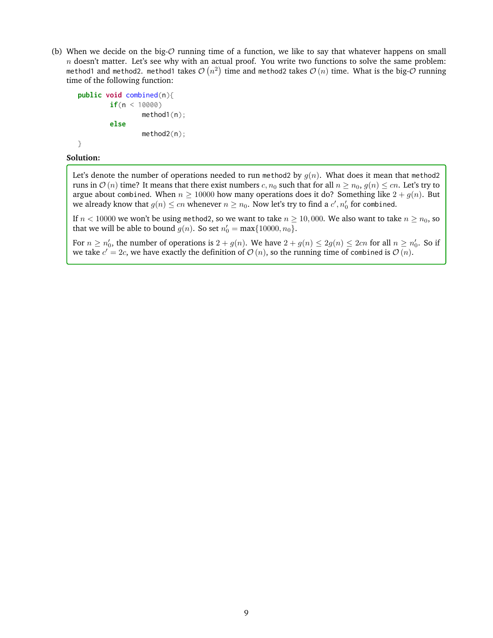(b) When we decide on the big- $\mathcal O$  running time of a function, we like to say that whatever happens on small  $n$  doesn't matter. Let's see why with an actual proof. You write two functions to solve the same problem: method1 and method2. method1 takes  $\mathcal{O}\left(n^2\right)$  time and method2 takes  $\mathcal{O}\left(n\right)$  time. What is the big- $\mathcal O$  running time of the following function:

```
public void combined(n){
        if(n < 10000)
                method1(n);
        else
                method2(n);
}
```
### **Solution:**

Let's denote the number of operations needed to run method2 by  $g(n)$ . What does it mean that method2 runs in  $O(n)$  time? It means that there exist numbers  $c, n_0$  such that for all  $n \ge n_0$ ,  $g(n) \le cn$ . Let's try to argue about combined. When  $n \ge 10000$  how many operations does it do? Something like  $2 + g(n)$ . But we already know that  $g(n) \leq cn$  whenever  $n \geq n_0$ . Now let's try to find a  $c', n_0'$  for combined.

If  $n < 10000$  we won't be using method2, so we want to take  $n \ge 10,000$ . We also want to take  $n \ge n_0$ , so that we will be able to bound  $g(n)$ . So set  $n'_0 = \max\{10000, n_0\}$ .

For  $n \ge n'_0$ , the number of operations is  $2 + g(n)$ . We have  $2 + g(n) \le 2g(n) \le 2cn$  for all  $n \ge n'_0$ . So if we take  $c'=2c$ , we have exactly the definition of  $\mathcal{O}(n)$ , so the running time of combined is  $\mathcal{O}(n)$ .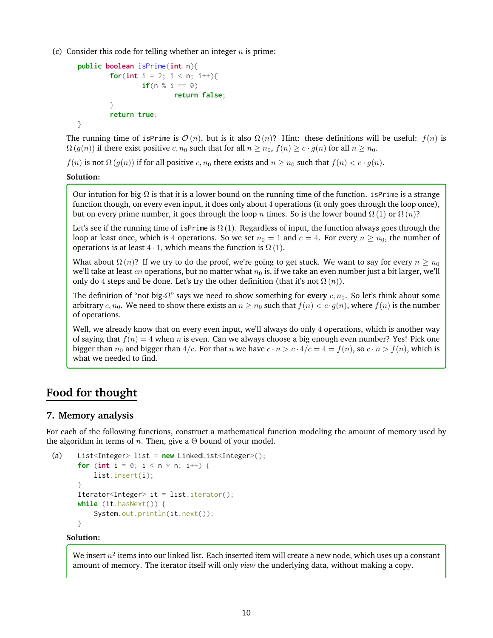(c) Consider this code for telling whether an integer  $n$  is prime:

```
public boolean isPrime(int n){
        for(\text{int } i = 2; i < n; i++){
                 if(n \ % i == 0)return false;
         }
         return true;
}
```
The running time of isPrime is  $\mathcal{O}(n)$ , but is it also  $\Omega(n)$ ? Hint: these definitions will be useful:  $f(n)$  is  $\Omega(g(n))$  if there exist positive c,  $n_0$  such that for all  $n \ge n_0$ ,  $f(n) \ge c \cdot g(n)$  for all  $n \ge n_0$ .

 $f(n)$  is not  $\Omega(g(n))$  if for all positive c,  $n_0$  there exists and  $n \geq n_0$  such that  $f(n) < c \cdot g(n)$ .

## **Solution:**

Our intution for big- $\Omega$  is that it is a lower bound on the running time of the function. isPrime is a strange function though, on every even input, it does only about 4 operations (it only goes through the loop once), but on every prime number, it goes through the loop n times. So is the lower bound  $\Omega(1)$  or  $\Omega(n)$ ?

Let's see if the running time of isPrime is  $\Omega(1)$ . Regardless of input, the function always goes through the loop at least once, which is 4 operations. So we set  $n_0 = 1$  and  $c = 4$ . For every  $n \ge n_0$ , the number of operations is at least  $4 \cdot 1$ , which means the function is  $\Omega(1)$ .

What about  $\Omega(n)$ ? If we try to do the proof, we're going to get stuck. We want to say for every  $n \ge n_0$ we'll take at least *cn* operations, but no matter what  $n_0$  is, if we take an even number just a bit larger, we'll only do 4 steps and be done. Let's try the other definition (that it's not  $\Omega(n)$ ).

The definition of "not big- $\Omega$ " says we need to show something for **every** c,  $n_0$ . So let's think about some arbitrary c,  $n_0$ . We need to show there exists an  $n \ge n_0$  such that  $f(n) < c \cdot g(n)$ , where  $f(n)$  is the number of operations.

Well, we already know that on every even input, we'll always do only 4 operations, which is another way of saying that  $f(n) = 4$  when n is even. Can we always choose a big enough even number? Yes! Pick one bigger than  $n_0$  and bigger than  $4/c$ . For that n we have  $c \cdot n > c \cdot 4/c = 4 = f(n)$ , so  $c \cdot n > f(n)$ , which is what we needed to find.

# **Food for thought**

## **7. Memory analysis**

For each of the following functions, construct a mathematical function modeling the amount of memory used by the algorithm in terms of *n*. Then, give a  $\Theta$  bound of your model.

```
(a) List<Integer> list = new LinkedList<Integer>();
      for (int i = 0; i < n * n; i^{++}) {
          list.insert(i);
      }
      Iterator<Integer> it = list.iterator();
      while (it.hasNext()) {
          System.out.println(it.next());
      }
```
## **Solution:**

We insert  $n^2$  items into our linked list. Each inserted item will create a new node, which uses up a constant amount of memory. The iterator itself will only *view* the underlying data, without making a copy.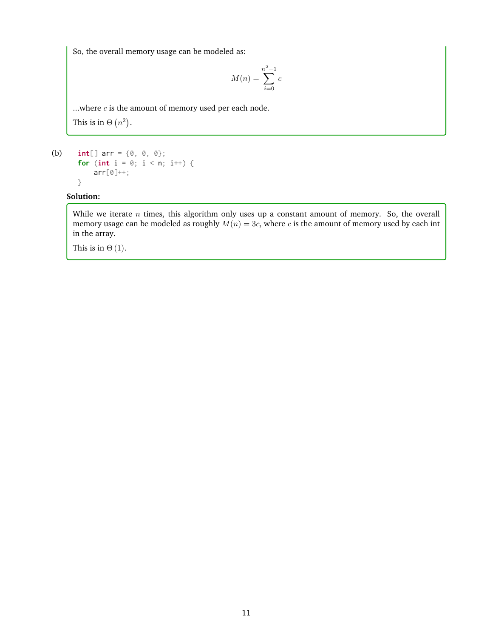So, the overall memory usage can be modeled as:

$$
M(n) = \sum_{i=0}^{n^2 - 1} c
$$

...where  $c$  is the amount of memory used per each node. This is in  $\Theta(n^2)$ .

(b) **int**[] arr = {0, 0, 0}; **for** (**int**  $i = 0$ ;  $i < n$ ;  $i^{++}$ ) { arr[0]++; }

# **Solution:**

While we iterate  $n$  times, this algorithm only uses up a constant amount of memory. So, the overall memory usage can be modeled as roughly  $M(n) = 3c$ , where c is the amount of memory used by each int in the array.

This is in  $\Theta(1)$ .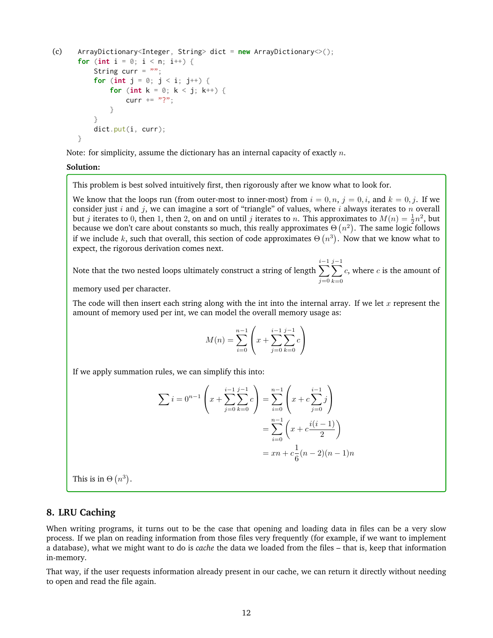```
(c) ArrayDictionary<Integer, String> dict = new ArrayDictionary<>();
      for (int i = 0; i < n; i^{++}) {
          String curr = ";
          for (int j = 0; j < i; j^{++}) {
              for (int k = 0; k < j; k++) {
                  curr += "?";
              }
          }
          dict.put(i, curr);
      }
```
Note: for simplicity, assume the dictionary has an internal capacity of exactly  $n$ .

#### **Solution:**

This problem is best solved intuitively first, then rigorously after we know what to look for.

We know that the loops run (from outer-most to inner-most) from  $i = 0, n, j = 0, i$ , and  $k = 0, j$ . If we consider just i and j, we can imagine a sort of "triangle" of values, where i always iterates to n overall but *j* iterates to 0, then 1, then 2, on and on until *j* iterates to *n*. This approximates to  $M(n) = \frac{1}{2}n^2$ , but because we don't care about constants so much, this really approximates  $\Theta\left(n^2\right)$ . The same logic follows if we include k, such that overall, this section of code approximates  $\Theta(n^3)$ . Now that we know what to expect, the rigorous derivation comes next.

Note that the two nested loops ultimately construct a string of length  $\sum_{i=1}^{i-1}$  $j=0$  $\sum$  $j-1$  $k=0$  $c$ , where  $c$  is the amount of

memory used per character.

The code will then insert each string along with the int into the internal array. If we let  $x$  represent the amount of memory used per int, we can model the overall memory usage as:

$$
M(n) = \sum_{i=0}^{n-1} \left( x + \sum_{j=0}^{i-1} \sum_{k=0}^{j-1} c \right)
$$

If we apply summation rules, we can simplify this into:

$$
\sum i = 0^{n-1} \left( x + \sum_{j=0}^{i-1} \sum_{k=0}^{j-1} c \right) = \sum_{i=0}^{n-1} \left( x + c \sum_{j=0}^{i-1} j \right)
$$

$$
= \sum_{i=0}^{n-1} \left( x + c \frac{i(i-1)}{2} \right)
$$

$$
= xn + c\frac{1}{6}(n-2)(n-1)n
$$

This is in  $\Theta(n^3)$ .

## **8. LRU Caching**

When writing programs, it turns out to be the case that opening and loading data in files can be a very slow process. If we plan on reading information from those files very frequently (for example, if we want to implement a database), what we might want to do is *cache* the data we loaded from the files – that is, keep that information in-memory.

That way, if the user requests information already present in our cache, we can return it directly without needing to open and read the file again.